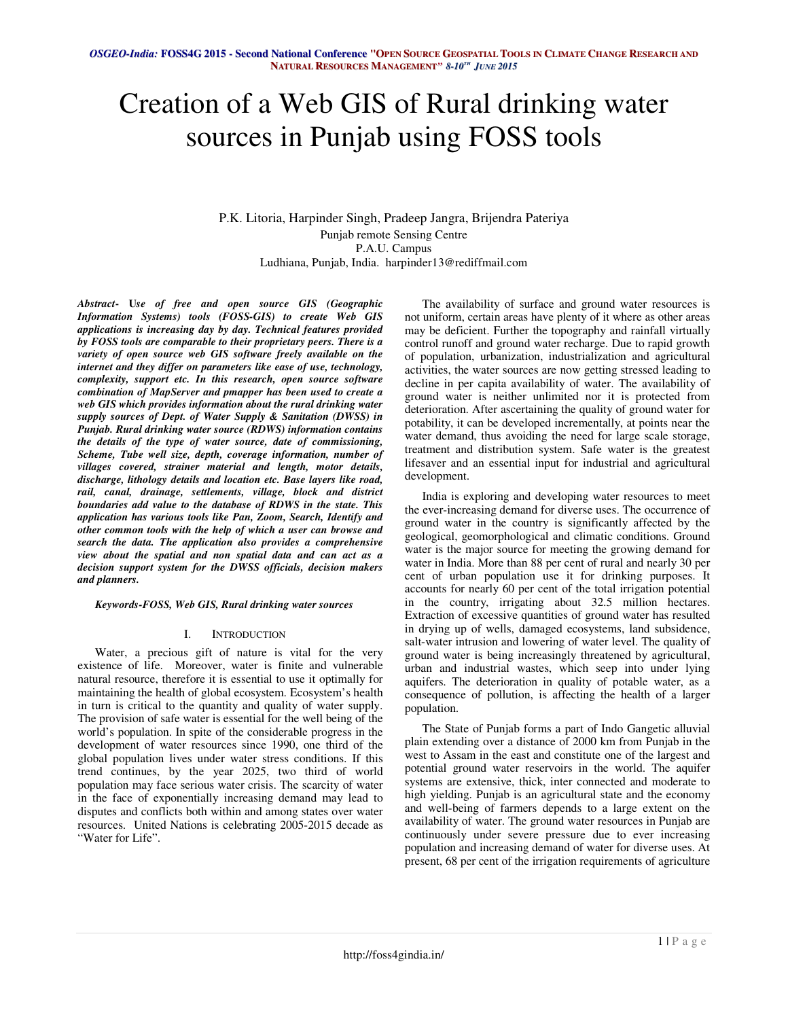# Creation of a Web GIS of Rural drinking water sources in Punjab using FOSS tools

P.K. Litoria, Harpinder Singh, Pradeep Jangra, Brijendra Pateriya Punjab remote Sensing Centre P.A.U. Campus Ludhiana, Punjab, India. harpinder13@rediffmail.com

*Abstract***- U***se of free and open source GIS (Geographic Information Systems) tools (FOSS-GIS) to create Web GIS applications is increasing day by day. Technical features provided by FOSS tools are comparable to their proprietary peers. There is a variety of open source web GIS software freely available on the internet and they differ on parameters like ease of use, technology, complexity, support etc. In this research, open source software combination of MapServer and pmapper has been used to create a web GIS which provides information about the rural drinking water supply sources of Dept. of Water Supply & Sanitation (DWSS) in Punjab. Rural drinking water source (RDWS) information contains the details of the type of water source, date of commissioning, Scheme, Tube well size, depth, coverage information, number of villages covered, strainer material and length, motor details, discharge, lithology details and location etc. Base layers like road, rail, canal, drainage, settlements, village, block and district boundaries add value to the database of RDWS in the state. This application has various tools like Pan, Zoom, Search, Identify and other common tools with the help of which a user can browse and search the data. The application also provides a comprehensive view about the spatial and non spatial data and can act as a decision support system for the DWSS officials, decision makers and planners.*

#### *Keywords-FOSS, Web GIS, Rural drinking water sources*

### I. INTRODUCTION

Water, a precious gift of nature is vital for the very existence of life. Moreover, water is finite and vulnerable natural resource, therefore it is essential to use it optimally for maintaining the health of global ecosystem. Ecosystem's health in turn is critical to the quantity and quality of water supply. The provision of safe water is essential for the well being of the world's population. In spite of the considerable progress in the development of water resources since 1990, one third of the global population lives under water stress conditions. If this trend continues, by the year 2025, two third of world population may face serious water crisis. The scarcity of water in the face of exponentially increasing demand may lead to disputes and conflicts both within and among states over water resources. United Nations is celebrating 2005-2015 decade as "Water for Life".

The availability of surface and ground water resources is not uniform, certain areas have plenty of it where as other areas may be deficient. Further the topography and rainfall virtually control runoff and ground water recharge. Due to rapid growth of population, urbanization, industrialization and agricultural activities, the water sources are now getting stressed leading to decline in per capita availability of water. The availability of ground water is neither unlimited nor it is protected from deterioration. After ascertaining the quality of ground water for potability, it can be developed incrementally, at points near the water demand, thus avoiding the need for large scale storage, treatment and distribution system. Safe water is the greatest lifesaver and an essential input for industrial and agricultural development.

India is exploring and developing water resources to meet the ever-increasing demand for diverse uses. The occurrence of ground water in the country is significantly affected by the geological, geomorphological and climatic conditions. Ground water is the major source for meeting the growing demand for water in India. More than 88 per cent of rural and nearly 30 per cent of urban population use it for drinking purposes. It accounts for nearly 60 per cent of the total irrigation potential in the country, irrigating about 32.5 million hectares. Extraction of excessive quantities of ground water has resulted in drying up of wells, damaged ecosystems, land subsidence, salt-water intrusion and lowering of water level. The quality of ground water is being increasingly threatened by agricultural, urban and industrial wastes, which seep into under lying aquifers. The deterioration in quality of potable water, as a consequence of pollution, is affecting the health of a larger population.

The State of Punjab forms a part of Indo Gangetic alluvial plain extending over a distance of 2000 km from Punjab in the west to Assam in the east and constitute one of the largest and potential ground water reservoirs in the world. The aquifer systems are extensive, thick, inter connected and moderate to high yielding. Punjab is an agricultural state and the economy and well-being of farmers depends to a large extent on the availability of water. The ground water resources in Punjab are continuously under severe pressure due to ever increasing population and increasing demand of water for diverse uses. At present, 68 per cent of the irrigation requirements of agriculture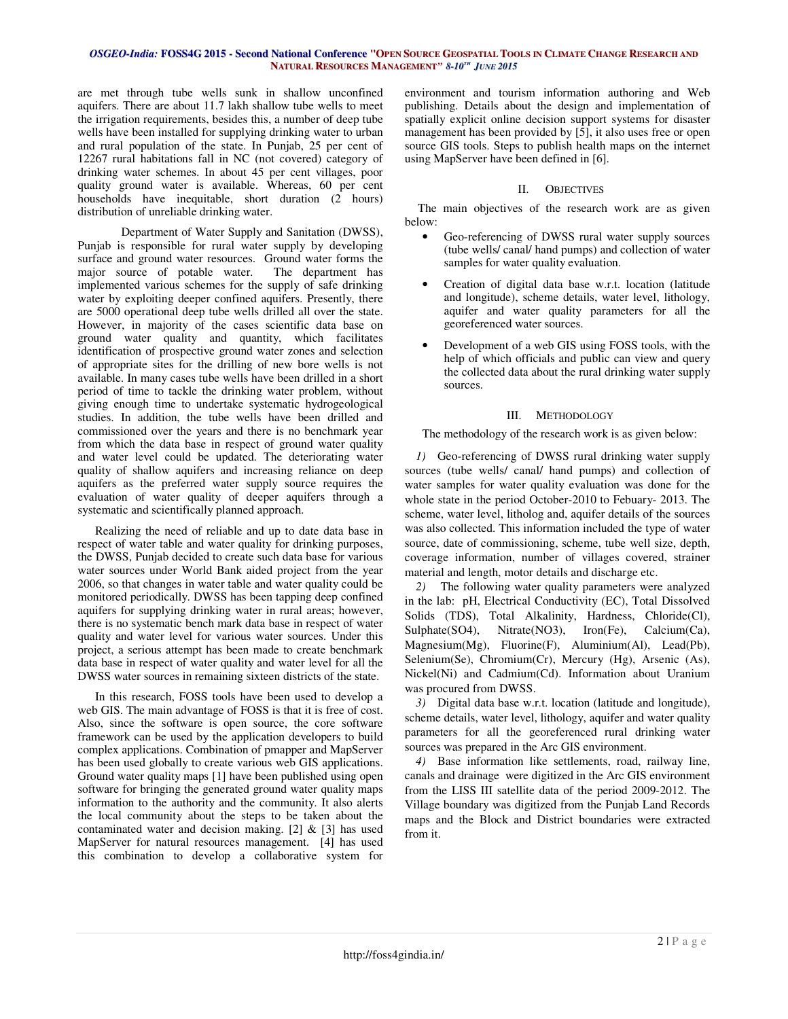are met through tube wells sunk in shallow unconfined aquifers. There are about 11.7 lakh shallow tube wells to meet the irrigation requirements, besides this, a number of deep tube wells have been installed for supplying drinking water to urban and rural population of the state. In Punjab, 25 per cent of 12267 rural habitations fall in NC (not covered) category of drinking water schemes. In about 45 per cent villages, poor quality ground water is available. Whereas, 60 per cent households have inequitable, short duration (2 hours) distribution of unreliable drinking water.

 Department of Water Supply and Sanitation (DWSS), Punjab is responsible for rural water supply by developing surface and ground water resources. Ground water forms the major source of potable water. The department has implemented various schemes for the supply of safe drinking water by exploiting deeper confined aquifers. Presently, there are 5000 operational deep tube wells drilled all over the state. However, in majority of the cases scientific data base on ground water quality and quantity, which facilitates identification of prospective ground water zones and selection of appropriate sites for the drilling of new bore wells is not available. In many cases tube wells have been drilled in a short period of time to tackle the drinking water problem, without giving enough time to undertake systematic hydrogeological studies. In addition, the tube wells have been drilled and commissioned over the years and there is no benchmark year from which the data base in respect of ground water quality and water level could be updated. The deteriorating water quality of shallow aquifers and increasing reliance on deep aquifers as the preferred water supply source requires the evaluation of water quality of deeper aquifers through a systematic and scientifically planned approach.

Realizing the need of reliable and up to date data base in respect of water table and water quality for drinking purposes, the DWSS, Punjab decided to create such data base for various water sources under World Bank aided project from the year 2006, so that changes in water table and water quality could be monitored periodically. DWSS has been tapping deep confined aquifers for supplying drinking water in rural areas; however, there is no systematic bench mark data base in respect of water quality and water level for various water sources. Under this project, a serious attempt has been made to create benchmark data base in respect of water quality and water level for all the DWSS water sources in remaining sixteen districts of the state.

In this research, FOSS tools have been used to develop a web GIS. The main advantage of FOSS is that it is free of cost. Also, since the software is open source, the core software framework can be used by the application developers to build complex applications. Combination of pmapper and MapServer has been used globally to create various web GIS applications. Ground water quality maps [1] have been published using open software for bringing the generated ground water quality maps information to the authority and the community. It also alerts the local community about the steps to be taken about the contaminated water and decision making. [2]  $\&$  [3] has used MapServer for natural resources management. [4] has used this combination to develop a collaborative system for

environment and tourism information authoring and Web publishing. Details about the design and implementation of spatially explicit online decision support systems for disaster management has been provided by [5], it also uses free or open source GIS tools. Steps to publish health maps on the internet using MapServer have been defined in [6].

## II. OBJECTIVES

The main objectives of the research work are as given below:

- Geo-referencing of DWSS rural water supply sources (tube wells/ canal/ hand pumps) and collection of water samples for water quality evaluation.
- Creation of digital data base w.r.t. location (latitude and longitude), scheme details, water level, lithology, aquifer and water quality parameters for all the georeferenced water sources.
- Development of a web GIS using FOSS tools, with the help of which officials and public can view and query the collected data about the rural drinking water supply sources.

# III. METHODOLOGY

The methodology of the research work is as given below:

*1)* Geo-referencing of DWSS rural drinking water supply sources (tube wells/ canal/ hand pumps) and collection of water samples for water quality evaluation was done for the whole state in the period October-2010 to Febuary- 2013. The scheme, water level, litholog and, aquifer details of the sources was also collected. This information included the type of water source, date of commissioning, scheme, tube well size, depth, coverage information, number of villages covered, strainer material and length, motor details and discharge etc.

*2)* The following water quality parameters were analyzed in the lab: pH, Electrical Conductivity (EC), Total Dissolved Solids (TDS), Total Alkalinity, Hardness, Chloride(Cl), Sulphate(SO4), Nitrate(NO3), Iron(Fe), Calcium(Ca), Magnesium(Mg), Fluorine(F), Aluminium(Al), Lead(Pb), Selenium(Se), Chromium(Cr), Mercury (Hg), Arsenic (As), Nickel(Ni) and Cadmium(Cd). Information about Uranium was procured from DWSS.

*3)* Digital data base w.r.t. location (latitude and longitude), scheme details, water level, lithology, aquifer and water quality parameters for all the georeferenced rural drinking water sources was prepared in the Arc GIS environment.

*4)* Base information like settlements, road, railway line, canals and drainage were digitized in the Arc GIS environment from the LISS III satellite data of the period 2009-2012. The Village boundary was digitized from the Punjab Land Records maps and the Block and District boundaries were extracted from it.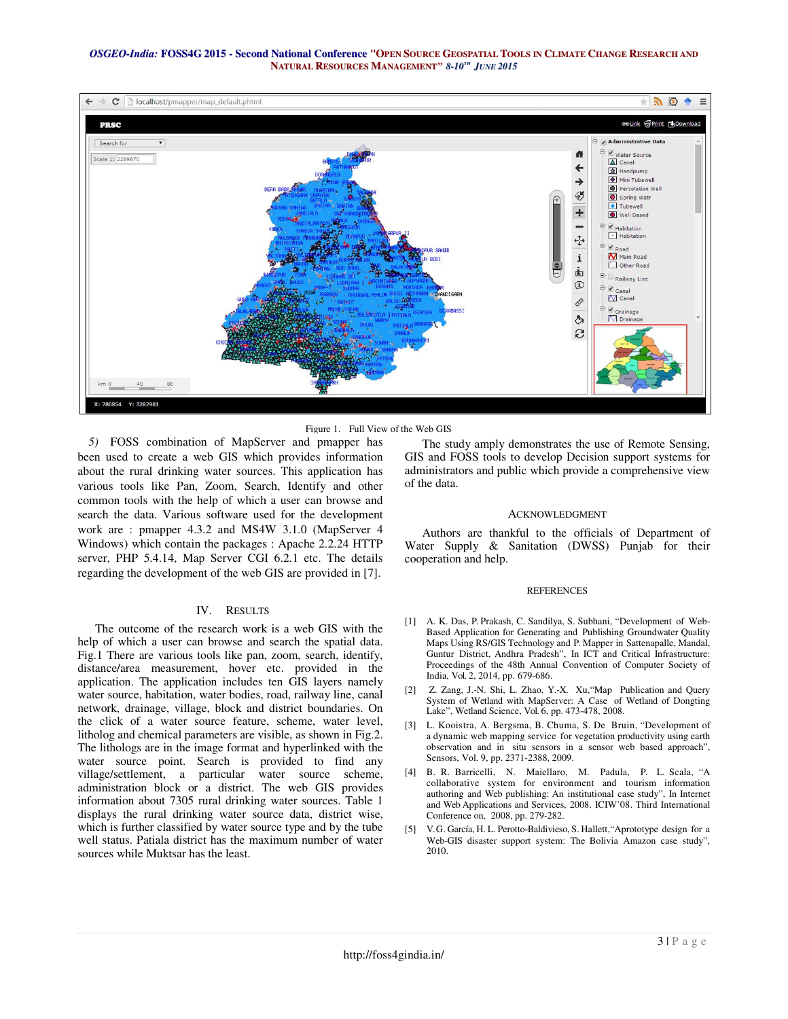

Figure 1. Full View of the Web GIS

*5)* FOSS combination of MapServer and pmapper has been used to create a web GIS which provides information about the rural drinking water sources. This application has various tools like Pan, Zoom, Search, Identify and other common tools with the help of which a user can browse and search the data. Various software used for the development work are : pmapper 4.3.2 and MS4W 3.1.0 (MapServer 4 Windows) which contain the packages : Apache 2.2.24 HTTP server, PHP 5.4.14, Map Server CGI 6.2.1 etc. The details regarding the development of the web GIS are provided in [7].

### IV. RESULTS

The outcome of the research work is a web GIS with the help of which a user can browse and search the spatial data. Fig.1 There are various tools like pan, zoom, search, identify, distance/area measurement, hover etc. provided in the application. The application includes ten GIS layers namely water source, habitation, water bodies, road, railway line, canal network, drainage, village, block and district boundaries. On the click of a water source feature, scheme, water level, litholog and chemical parameters are visible, as shown in Fig.2. The lithologs are in the image format and hyperlinked with the water source point. Search is provided to find any village/settlement, a particular water source scheme, administration block or a district. The web GIS provides information about 7305 rural drinking water sources. Table 1 displays the rural drinking water source data, district wise, which is further classified by water source type and by the tube well status. Patiala district has the maximum number of water sources while Muktsar has the least.

The study amply demonstrates the use of Remote Sensing, GIS and FOSS tools to develop Decision support systems for administrators and public which provide a comprehensive view of the data.

#### ACKNOWLEDGMENT

Authors are thankful to the officials of Department of Water Supply & Sanitation (DWSS) Punjab for their cooperation and help.

#### **REFERENCES**

- [1] A. K. Das, P. Prakash, C. Sandilya, S. Subhani, "Development of Web-Based Application for Generating and Publishing Groundwater Quality Maps Using RS/GIS Technology and P. Mapper in Sattenapalle, Mandal, Guntur District, Andhra Pradesh", In ICT and Critical Infrastructure: Proceedings of the 48th Annual Convention of Computer Society of India, Vol. 2, 2014, pp. 679-686.
- [2] Z. Zang, J.-N. Shi, L. Zhao, Y.-X. Xu,"Map Publication and Query System of Wetland with MapServer: A Case of Wetland of Dongting Lake", Wetland Science, Vol. 6, pp. 473-478, 2008.
- [3] L. Kooistra, A. Bergsma, B. Chuma, S. De Bruin, "Development of a dynamic web mapping service for vegetation productivity using earth observation and in situ sensors in a sensor web based approach", Sensors, Vol. 9, pp. 2371-2388, 2009.
- [4] B. R. Barricelli, N. Maiellaro, M. Padula, P. L. Scala, "A collaborative system for environment and tourism information authoring and Web publishing: An institutional case study", In Internet and Web Applications and Services, 2008. ICIW'08. Third International Conference on, 2008, pp. 279-282.
- [5] V. G. García, H. L. Perotto-Baldivieso, S. Hallett,"Aprototype design for a Web-GIS disaster support system: The Bolivia Amazon case study", 2010.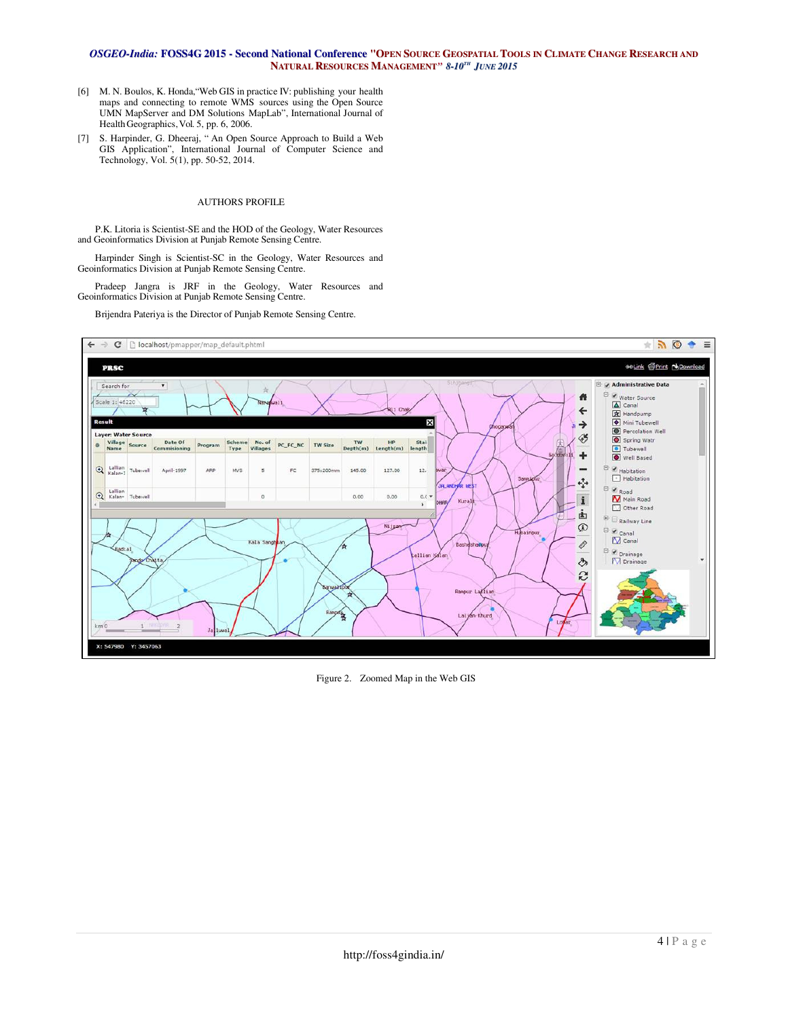- [6] M. N. Boulos, K. Honda,"Web GIS in practice IV: publishing your health maps and connecting to remote WMS sources using the Open Source UMN MapServer and DM Solutions MapLab", International Journal of Health Geographics, Vol. 5, pp. 6, 2006.
- [7] S. Harpinder, G. Dheeraj, " An Open Source Approach to Build a Web GIS Application", International Journal of Computer Science and Technology, Vol. 5(1), pp. 50-52, 2014.

### AUTHORS PROFILE

P.K. Litoria is Scientist-SE and the HOD of the Geology, Water Resources and Geoinformatics Division at Punjab Remote Sensing Centre.

Harpinder Singh is Scientist-SC in the Geology, Water Resources and Geoinformatics Division at Punjab Remote Sensing Centre.

Pradeep Jangra is JRF in the Geology, Water Resources and Geoinformatics Division at Punjab Remote Sensing Centre.

Brijendra Pateriya is the Director of Punjab Remote Sensing Centre.



Figure 2. Zoomed Map in the Web GIS